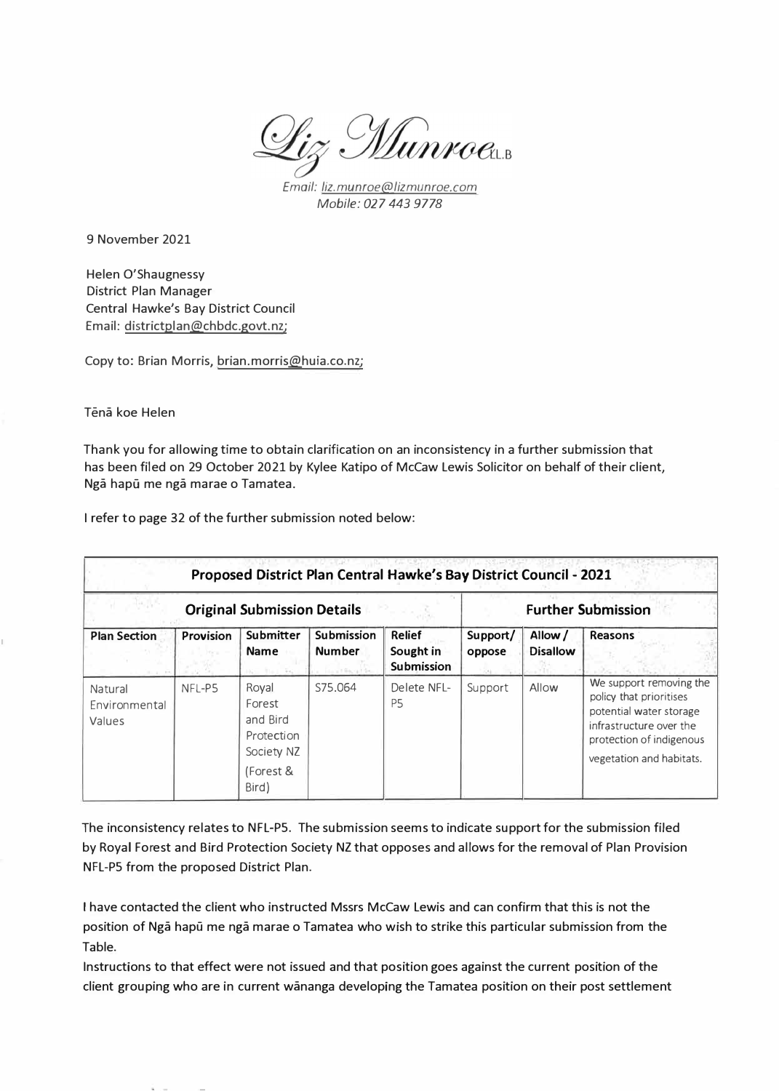Liz Munroeus

*Email: liz.munroe@lizmunroe.com Mobile:* 027 *443 9778* 

9 November 2021

Helen O'Shaugnessy District Plan Manager Central Hawke's Bay District Council Email: districtplan@chbdc.govt.nz;

Copy to: Brian Morris, brian.morris@huia.co.nz;

Tena koe Helen

Thank you for allowing time to obtain clarification on an inconsistency in a further submission that has been filed on 29 October 2021 by Kylee Katipo of McCaw Lewis Solicitor on behalf of their client, Ngā hapū me ngā marae o Tamatea.

I refer to page 32 of the further submission noted below:

| Proposed District Plan Central Hawke's Bay District Council - 2021 |           |                                                                               |                                                             |                                                 |                           |                           |                                                                                                                                                                  |  |  |
|--------------------------------------------------------------------|-----------|-------------------------------------------------------------------------------|-------------------------------------------------------------|-------------------------------------------------|---------------------------|---------------------------|------------------------------------------------------------------------------------------------------------------------------------------------------------------|--|--|
| <b>Original Submission Details</b>                                 |           |                                                                               |                                                             |                                                 | <b>Further Submission</b> |                           |                                                                                                                                                                  |  |  |
| <b>Plan Section</b>                                                | Provision | <b>Submitter</b><br><b>Name</b>                                               | <b>Submission</b><br><b>Number</b><br><b>Louis Barrette</b> | <b>Relief</b><br>Sought in<br><b>Submission</b> | Support/<br>oppose        | Allow/<br><b>Disallow</b> | <b>Reasons</b>                                                                                                                                                   |  |  |
| Natural<br>Environmental<br>Values                                 | NFL-P5    | Royal<br>Forest<br>and Bird<br>Protection<br>Society NZ<br>(Forest &<br>Bird) | S75.064                                                     | Delete NFL-<br>P <sub>5</sub>                   | Support                   | Allow                     | We support removing the<br>policy that prioritises<br>potential water storage<br>infrastructure over the<br>protection of indigenous<br>vegetation and habitats. |  |  |

The inconsistency relates to NFL-PS. The submission seems to indicate support for the submission filed by Royal Forest and Bird Protection Society NZ that opposes and allows for the removal of Plan Provision NFL-PS from the proposed District Plan.

I have contacted the client who instructed Mssrs McCaw Lewis and can confirm that this is not the position of Ngā hapū me ngā marae o Tamatea who wish to strike this particular submission from the Table.

Instructions to that effect were not issued and that position goes against the current position of the client grouping who are in current wananga developing the Tamatea position on their post settlement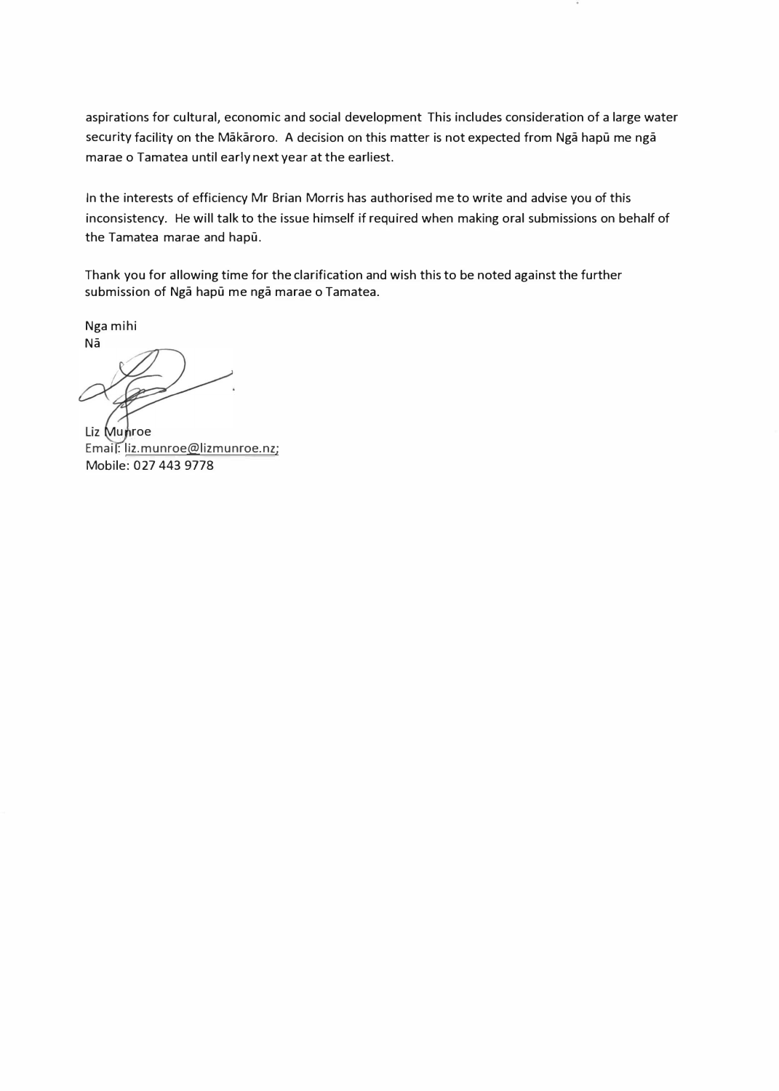aspirations for cultural, economic and social development This includes consideration of a large water security facility on the Mākāroro. A decision on this matter is not expected from Ngā hapū me ngā marae o Tamatea until early next year at the earliest.

In the interests of efficiency Mr Brian Morris has authorised me to write and advise you of this inconsistency. He will talk to the issue himself if required when making oral submissions on behalf of the Tamatea marae and hapu.

Thank you for allowing time for the clarification and wish this to be noted against the further submission of Nga hapu me nga marae o Tamatea.

Nga mihi Na

Liz Munroe Emai: liz.munroe@lizmunroe.nz; Mobile: 027 443 9778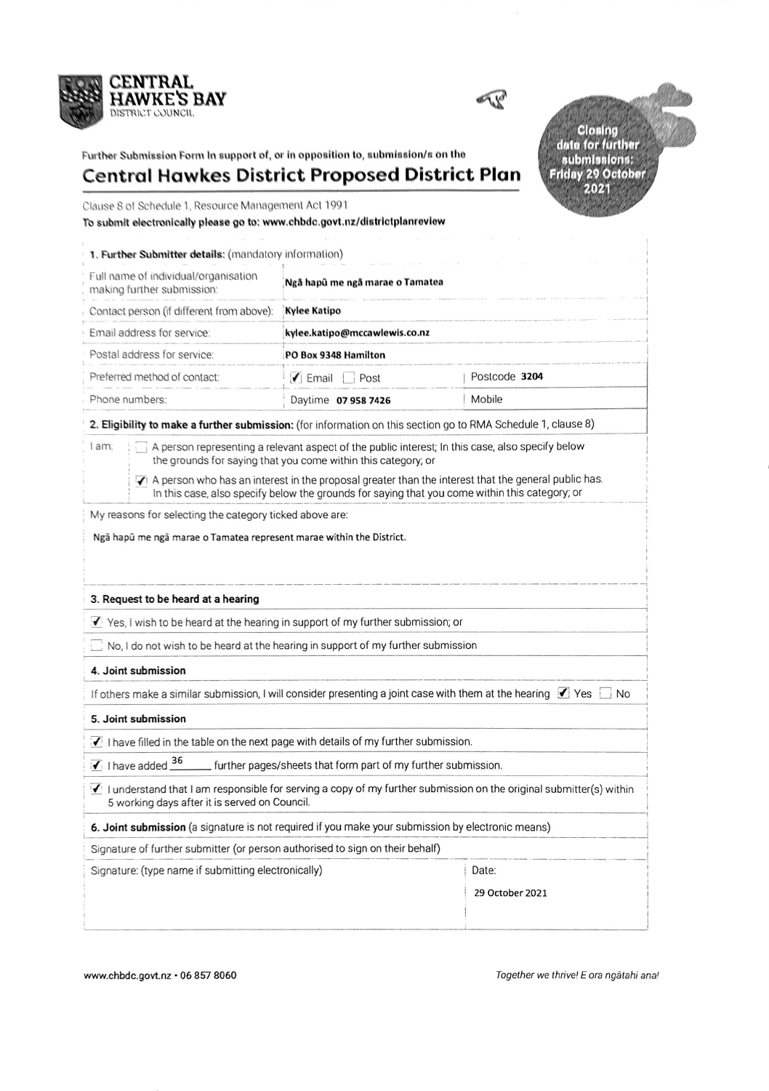



Further Submission Form In support of, or in opposition to, submission/s on the

Closing<br>date for further<br>submissions:<br>Friday 29 October<br>2021

## Central Hawkes District Proposed District Plan

Clause 8 of Schedule 1, Resource Management Act 1991

To submit electronically please go to: www.chbdc.govt.nz/districtplanreview

| 1. Further Submitter details: (mandatory information)                                                                                                                                                                                                                                                                                                                                                                                          |                                     |                          |  |  |  |  |  |
|------------------------------------------------------------------------------------------------------------------------------------------------------------------------------------------------------------------------------------------------------------------------------------------------------------------------------------------------------------------------------------------------------------------------------------------------|-------------------------------------|--------------------------|--|--|--|--|--|
| Full name of individual/organisation<br>making further submission:                                                                                                                                                                                                                                                                                                                                                                             | Ngã hapû me ngã marae o Tamatea     |                          |  |  |  |  |  |
| Contact person (if different from above):                                                                                                                                                                                                                                                                                                                                                                                                      | <b>Kylee Katipo</b>                 |                          |  |  |  |  |  |
| Email address for service:                                                                                                                                                                                                                                                                                                                                                                                                                     | kylee.katipo@mccawlewis.co.nz       |                          |  |  |  |  |  |
| Postal address for service:                                                                                                                                                                                                                                                                                                                                                                                                                    | PO Box 9348 Hamilton                |                          |  |  |  |  |  |
| Preferred method of contact:                                                                                                                                                                                                                                                                                                                                                                                                                   | $\blacktriangleright$ Email<br>Post | Postcode 3204            |  |  |  |  |  |
| Phone numbers:                                                                                                                                                                                                                                                                                                                                                                                                                                 | Daytime 07 958 7426                 | Mobile                   |  |  |  |  |  |
| 2. Eligibility to make a further submission: (for information on this section go to RMA Schedule 1, clause 8)                                                                                                                                                                                                                                                                                                                                  |                                     |                          |  |  |  |  |  |
| A person representing a relevant aspect of the public interest; In this case, also specify below<br>l am:<br>the grounds for saying that you come within this category; or<br>A person who has an interest in the proposal greater than the interest that the general public has.<br>In this case, also specify below the grounds for saying that you come within this category; or<br>My reasons for selecting the category ticked above are: |                                     |                          |  |  |  |  |  |
| Ngã hapū me ngã marae o Tamatea represent marae within the District.<br>3. Request to be heard at a hearing                                                                                                                                                                                                                                                                                                                                    |                                     |                          |  |  |  |  |  |
| Yes, I wish to be heard at the hearing in support of my further submission; or                                                                                                                                                                                                                                                                                                                                                                 |                                     |                          |  |  |  |  |  |
| No, I do not wish to be heard at the hearing in support of my further submission                                                                                                                                                                                                                                                                                                                                                               |                                     |                          |  |  |  |  |  |
| 4. Joint submission                                                                                                                                                                                                                                                                                                                                                                                                                            |                                     |                          |  |  |  |  |  |
| If others make a similar submission, I will consider presenting a joint case with them at the hearing $\Box$ Yes $\Box$ No                                                                                                                                                                                                                                                                                                                     |                                     |                          |  |  |  |  |  |
| 5. Joint submission                                                                                                                                                                                                                                                                                                                                                                                                                            |                                     |                          |  |  |  |  |  |
| I have filled in the table on the next page with details of my further submission.                                                                                                                                                                                                                                                                                                                                                             |                                     |                          |  |  |  |  |  |
| $\sqrt{1}$ I have added $\frac{36}{1}$<br>further pages/sheets that form part of my further submission.                                                                                                                                                                                                                                                                                                                                        |                                     |                          |  |  |  |  |  |
| I understand that I am responsible for serving a copy of my further submission on the original submitter(s) within<br>5 working days after it is served on Council.                                                                                                                                                                                                                                                                            |                                     |                          |  |  |  |  |  |
| 6. Joint submission (a signature is not required if you make your submission by electronic means)                                                                                                                                                                                                                                                                                                                                              |                                     |                          |  |  |  |  |  |
| Signature of further submitter (or person authorised to sign on their behalf)                                                                                                                                                                                                                                                                                                                                                                  |                                     |                          |  |  |  |  |  |
| Signature: (type name if submitting electronically)                                                                                                                                                                                                                                                                                                                                                                                            |                                     | Date:<br>29 October 2021 |  |  |  |  |  |